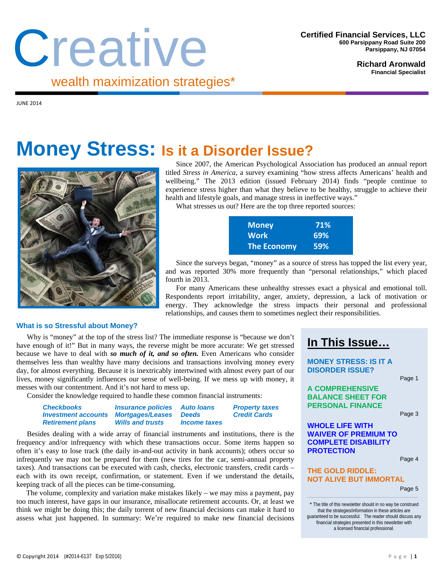# Creative wealth maximization strategies\*

**Richard Aronwald Financial Specialist** 

 $I$ UNE 2014

## **Money Stress: Is it a Disorder Issue?**



Since 2007, the American Psychological Association has produced an annual report titled *Stress in America,* a survey examining "how stress affects Americans' health and wellbeing." The 2013 edition (issued February 2014) finds "people continue to experience stress higher than what they believe to be healthy, struggle to achieve their health and lifestyle goals, and manage stress in ineffective ways."

What stresses us out? Here are the top three reported sources:

| <b>Money</b>       | 71%        |
|--------------------|------------|
| <b>Work</b>        | 69%        |
| <b>The Economy</b> | <b>59%</b> |

Since the surveys began, "money" as a source of stress has topped the list every year, and was reported 30% more frequently than "personal relationships," which placed fourth in 2013.

For many Americans these unhealthy stresses exact a physical and emotional toll. Respondents report irritability, anger, anxiety, depression, a lack of motivation or energy. They acknowledge the stress impacts their personal and professional relationships, and causes them to sometimes neglect their responsibilities.

#### **What is so Stressful about Money?**

Why is "money" at the top of the stress list? The immediate response is "because we don't have enough of it!" But in many ways, the reverse might be more accurate: We get stressed because we have to deal with *so much of it, and so often.* Even Americans who consider themselves less than wealthy have many decisions and transactions involving money every day, for almost everything. Because it is inextricably intertwined with almost every part of our lives, money significantly influences our sense of well-being. If we mess up with money, it messes with our contentment. And it's not hard to mess up.

Consider the knowledge required to handle these common financial instruments:

| <b>Checkbooks</b>          | <i><b>Insurance policies</b></i> | <b>Auto loans</b>   | <b>Property taxes</b> |
|----------------------------|----------------------------------|---------------------|-----------------------|
| <b>Investment accounts</b> | <b>Mortgages/Leases</b>          | <b>Deeds</b>        | <b>Credit Cards</b>   |
| <b>Retirement plans</b>    | <b>Wills and trusts</b>          | <b>Income taxes</b> |                       |

Besides dealing with a wide array of financial instruments and institutions, there is the frequency and/or infrequency with which these transactions occur. Some items happen so often it's easy to lose track (the daily in-and-out activity in bank accounts); others occur so infrequently we may not be prepared for them (new tires for the car, semi-annual property taxes). And transactions can be executed with cash, checks, electronic transfers, credit cards – each with its own receipt, confirmation, or statement. Even if we understand the details, keeping track of all the pieces can be time-consuming.

The volume, complexity and variation make mistakes likely  $-$  we may miss a payment, pay too much interest, have gaps in our insurance, misallocate retirement accounts. Or, at least we think we might be doing this; the daily torrent of new financial decisions can make it hard to assess what just happened. In summary: We're required to make new financial decisions

### **In This Issue…**

**MONEY STRESS: IS IT A DISORDER ISSUE?** 

Page 1

**A COMPREHENSIVE BALANCE SHEET FOR PERSONAL FINANCE** 

Page 3

**WHOLE LIFE WITH WAIVER OF PREMIUM TO COMPLETE DISABILITY PROTECTION** 

Page 4

#### **THE GOLD RIDDLE: NOT ALIVE BUT IMMORTAL**

Page 5

\* The title of this newsletter should in no way be construed that the strategies/information in these articles are guaranteed to be successful. The reader should discuss any financial strategies presented in this newsletter with a licensed financial professional.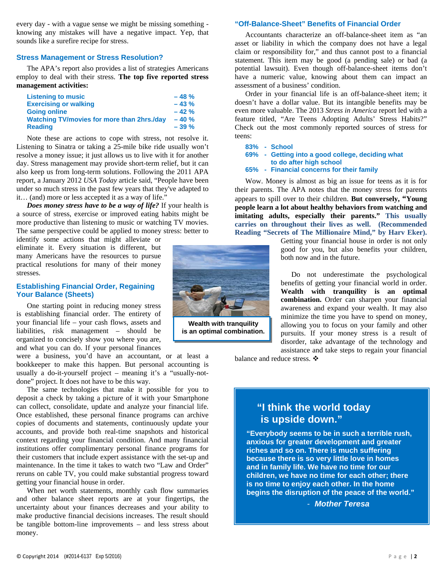every day - with a vague sense we might be missing something knowing any mistakes will have a negative impact. Yep, that sounds like a surefire recipe for stress.

#### **Stress Management or Stress Resolution?**

The APA's report also provides a list of strategies Americans employ to deal with their stress. **The top five reported stress management activities:** 

| <b>Listening to music</b>                         | $-48%$ |
|---------------------------------------------------|--------|
| <b>Exercising or walking</b>                      | $-43%$ |
| <b>Going online</b>                               | $-42%$ |
| <b>Watching TV/movies for more than 2hrs./day</b> | $-40%$ |
| <b>Reading</b>                                    | $-39%$ |

Note these are actions to cope with stress, not resolve it. Listening to Sinatra or taking a 25-mile bike ride usually won't resolve a money issue; it just allows us to live with it for another day. Stress management may provide short-term relief, but it can also keep us from long-term solutions. Following the 2011 APA report, a January 2012 *USA Today* article said, "People have been under so much stress in the past few years that they've adapted to it… (and) more or less accepted it as a way of life."

*Does money stress have to be a way of life?* If your health is a source of stress, exercise or improved eating habits might be more productive than listening to music or watching TV movies. The same perspective could be applied to money stress: better to

identify some actions that might alleviate or eliminate it. Every situation is different, but many Americans have the resources to pursue practical resolutions for many of their money stresses.

#### **Establishing Financial Order, Regaining Your Balance (Sheets)**

One starting point in reducing money stress is establishing financial order. The entirety of your financial life – your cash flows, assets and liabilities, risk management – should be organized to concisely show you where you are, and what you can do. If your personal finances

were a business, you'd have an accountant, or at least a bookkeeper to make this happen. But personal accounting is usually a do-it-yourself project – meaning it's a "usually-notdone" project. It does not have to be this way.

The same technologies that make it possible for you to deposit a check by taking a picture of it with your Smartphone can collect, consolidate, update and analyze your financial life. Once established, these personal finance programs can archive copies of documents and statements, continuously update your accounts, and provide both real-time snapshots and historical context regarding your financial condition. And many financial institutions offer complimentary personal finance programs for their customers that include expert assistance with the set-up and maintenance. In the time it takes to watch two "Law and Order" reruns on cable TV, you could make substantial progress toward getting your financial house in order.

When net worth statements, monthly cash flow summaries and other balance sheet reports are at your fingertips, the uncertainty about your finances decreases and your ability to make productive financial decisions increases. The result should be tangible bottom-line improvements – and less stress about money.

**Wealth with tranquility is an optimal combination.** 

**"Off-Balance-Sheet" Benefits of Financial Order** 

Accountants characterize an off-balance-sheet item as "an asset or liability in which the company does not have a legal claim or responsibility for," and thus cannot post to a financial statement. This item may be good (a pending sale) or bad (a potential lawsuit). Even though off-balance-sheet items don't have a numeric value, knowing about them can impact an assessment of a business' condition.

Order in your financial life is an off-balance-sheet item; it doesn't have a dollar value. But its intangible benefits may be even more valuable. The 2013 *Stress in America* report led with a feature titled, "Are Teens Adopting Adults' Stress Habits?" Check out the most commonly reported sources of stress for teens:

```
83% - School
```

```
69% - Getting into a good college, deciding what 
         to do after high school 
65% - Financial concerns for their family
```
Wow. Money is almost as big an issue for teens as it is for their parents. The APA notes that the money stress for parents appears to spill over to their children. **But conversely, "Young people learn a lot about healthy behaviors from watching and imitating adults, especially their parents." This usually carries on throughout their lives as well. (Recommended Reading "Secrets of The Millionaire Mind," by Harv Eker).**

> Getting your financial house in order is not only good for you, but also benefits your children, both now and in the future.

> Do not underestimate the psychological benefits of getting your financial world in order. **Wealth with tranquility is an optimal combination.** Order can sharpen your financial awareness and expand your wealth. It may also minimize the time you have to spend on money, allowing you to focus on your family and other pursuits. If your money stress is a result of disorder, take advantage of the technology and assistance and take steps to regain your financial

balance and reduce stress.  $\clubsuit$ 

#### **"I think the world today is upside down."**

**"Everybody seems to be in such a terrible rush, anxious for greater development and greater riches and so on. There is much suffering because there is so very little love in homes and in family life. We have no time for our children, we have no time for each other; there is no time to enjoy each other. In the home begins the disruption of the peace of the world."** 

*- Mother Teresa*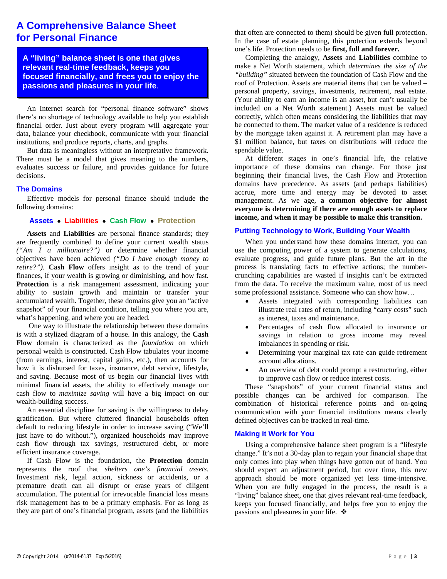#### **A Comprehensive Balance Sheet for Personal Finance**

**A "living" balance sheet is one that gives relevant real-time feedback, keeps you focused financially, and frees you to enjoy the passions and pleasures in your life**.

An Internet search for "personal finance software" shows there's no shortage of technology available to help you establish financial order. Just about every program will aggregate your data, balance your checkbook, communicate with your financial institutions, and produce reports, charts, and graphs.

But data is meaningless without an interpretative framework. There must be a model that gives meaning to the numbers, evaluates success or failure, and provides guidance for future decisions.

#### **The Domains**

Effective models for personal finance should include the following domains:

#### **Assets Liabilities Cash Flow Protection**

**Assets** and **Liabilities** are personal finance standards; they are frequently combined to define your current wealth status *("Am I a millionaire?")* or determine whether financial objectives have been achieved *("Do I have enough money to retire?")*. **Cash Flow** offers insight as to the trend of your finances, if your wealth is growing or diminishing, and how fast. **Protection** is a risk management assessment, indicating your ability to sustain growth and maintain or transfer your accumulated wealth. Together, these domains give you an "active snapshot" of your financial condition, telling you where you are, what's happening, and where you are headed.

One way to illustrate the relationship between these domains is with a stylized diagram of a house. In this analogy, the **Cash Flow** domain is characterized as the *foundation* on which personal wealth is constructed. Cash Flow tabulates your income (from earnings, interest, capital gains, etc.), then accounts for how it is disbursed for taxes, insurance, debt service, lifestyle, and saving. Because most of us begin our financial lives with minimal financial assets, the ability to effectively manage our cash flow to *maximize saving* will have a big impact on our wealth-building success.

An essential discipline for saving is the willingness to delay gratification. But where cluttered financial households often default to reducing lifestyle in order to increase saving ("We'll just have to do without."), organized households may improve cash flow through tax savings, restructured debt, or more efficient insurance coverage.

If Cash Flow is the foundation, the **Protection** domain represents the roof that *shelters one's financial assets*. Investment risk, legal action, sickness or accidents, or a premature death can all disrupt or erase years of diligent accumulation. The potential for irrevocable financial loss means risk management has to be a primary emphasis. For as long as they are part of one's financial program, assets (and the liabilities that often are connected to them) should be given full protection. In the case of estate planning, this protection extends beyond one's life. Protection needs to be **first, full and forever.**

Completing the analogy, **Assets** and **Liabilities** combine to make a Net Worth statement, which *determines the size of the "building"* situated between the foundation of Cash Flow and the roof of Protection. Assets are material items that can be valued – personal property, savings, investments, retirement, real estate. (Your ability to earn an income is an asset, but can't usually be included on a Net Worth statement.) Assets must be valued correctly, which often means considering the liabilities that may be connected to them. The market value of a residence is reduced by the mortgage taken against it. A retirement plan may have a \$1 million balance, but taxes on distributions will reduce the spendable value.

At different stages in one's financial life, the relative importance of these domains can change. For those just beginning their financial lives, the Cash Flow and Protection domains have precedence. As assets (and perhaps liabilities) accrue, more time and energy may be devoted to asset management. As we age, **a common objective for almost everyone is determining if there are enough assets to replace income, and when it may be possible to make this transition.** 

#### **Putting Technology to Work, Building Your Wealth**

When you understand how these domains interact, you can use the computing power of a system to generate calculations, evaluate progress, and guide future plans. But the art in the process is translating facts to effective actions; the numbercrunching capabilities are wasted if insights can't be extracted from the data. To receive the maximum value, most of us need some professional assistance. Someone who can show how…

- Assets integrated with corresponding liabilities can illustrate real rates of return, including "carry costs" such as interest, taxes and maintenance.
- Percentages of cash flow allocated to insurance or savings in relation to gross income may reveal imbalances in spending or risk.
- Determining your marginal tax rate can guide retirement account allocations.
- An overview of debt could prompt a restructuring, either to improve cash flow or reduce interest costs.

These "snapshots" of your current financial status and possible changes can be archived for comparison. The combination of historical reference points and on-going communication with your financial institutions means clearly defined objectives can be tracked in real-time.

#### **Making it Work for You**

Using a comprehensive balance sheet program is a "lifestyle change." It's not a 30-day plan to regain your financial shape that only comes into play when things have gotten out of hand. You should expect an adjustment period, but over time, this new approach should be more organized yet less time-intensive. When you are fully engaged in the process, the result is a "living" balance sheet, one that gives relevant real-time feedback, keeps you focused financially, and helps free you to enjoy the passions and pleasures in your life.  $\triangle$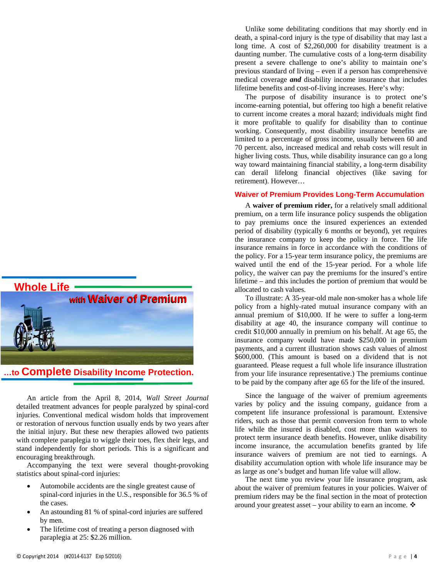

**…to Complete Disability Income Protection.**

An article from the April 8, 2014, *Wall Street Journal* detailed treatment advances for people paralyzed by spinal-cord injuries. Conventional medical wisdom holds that improvement or restoration of nervous function usually ends by two years after the initial injury. But these new therapies allowed two patients with complete paraplegia to wiggle their toes, flex their legs, and stand independently for short periods. This is a significant and encouraging breakthrough.

Accompanying the text were several thought-provoking statistics about spinal-cord injuries:

- Automobile accidents are the single greatest cause of spinal-cord injuries in the U.S., responsible for 36.5 % of the cases.
- An astounding 81 % of spinal-cord injuries are suffered by men.
- The lifetime cost of treating a person diagnosed with paraplegia at 25: \$2.26 million.

Unlike some debilitating conditions that may shortly end in death, a spinal-cord injury is the type of disability that may last a long time. A cost of \$2,260,000 for disability treatment is a daunting number. The cumulative costs of a long-term disability present a severe challenge to one's ability to maintain one's previous standard of living – even if a person has comprehensive medical coverage *and* disability income insurance that includes lifetime benefits and cost-of-living increases. Here's why:

The purpose of disability insurance is to protect one's income-earning potential, but offering too high a benefit relative to current income creates a moral hazard; individuals might find it more profitable to qualify for disability than to continue working. Consequently, most disability insurance benefits are limited to a percentage of gross income, usually between 60 and 70 percent. also, increased medical and rehab costs will result in higher living costs. Thus, while disability insurance can go a long way toward maintaining financial stability, a long-term disability can derail lifelong financial objectives (like saving for retirement). However…

#### **Waiver of Premium Provides Long-Term Accumulation**

A **waiver of premium rider,** for a relatively small additional premium, on a term life insurance policy suspends the obligation to pay premiums once the insured experiences an extended period of disability (typically 6 months or beyond), yet requires the insurance company to keep the policy in force. The life insurance remains in force in accordance with the conditions of the policy. For a 15-year term insurance policy, the premiums are waived until the end of the 15-year period. For a whole life policy, the waiver can pay the premiums for the insured's entire lifetime – and this includes the portion of premium that would be allocated to cash values.

To illustrate: A 35-year-old male non-smoker has a whole life policy from a highly-rated mutual insurance company with an annual premium of \$10,000. If he were to suffer a long-term disability at age 40, the insurance company will continue to credit \$10,000 annually in premium on his behalf. At age 65, the insurance company would have made \$250,000 in premium payments, and a current illustration shows cash values of almost \$600,000. (This amount is based on a dividend that is not guaranteed. Please request a full whole life insurance illustration from your life insurance representative.) The premiums continue to be paid by the company after age 65 for the life of the insured.

Since the language of the waiver of premium agreements varies by policy and the issuing company, guidance from a competent life insurance professional is paramount. Extensive riders, such as those that permit conversion from term to whole life while the insured is disabled, cost more than waivers to protect term insurance death benefits. However, unlike disability income insurance, the accumulation benefits granted by life insurance waivers of premium are not tied to earnings. A disability accumulation option with whole life insurance may be as large as one's budget and human life value will allow.

The next time you review your life insurance program, ask about the waiver of premium features in your policies. Waiver of premium riders may be the final section in the moat of protection around your greatest asset – your ability to earn an income.  $\mathbf{\hat{P}}$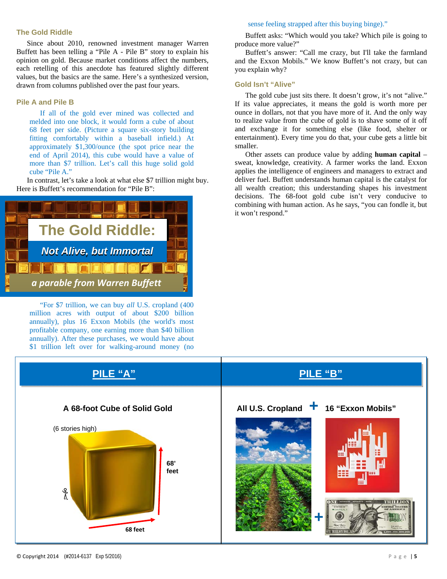#### **The Gold Riddle**

Since about 2010, renowned investment manager Warren Buffett has been telling a "Pile A - Pile B" story to explain his opinion on gold. Because market conditions affect the numbers, each retelling of this anecdote has featured slightly different values, but the basics are the same. Here's a synthesized version, drawn from columns published over the past four years.

#### **Pile A and Pile B**

If all of the gold ever mined was collected and melded into one block, it would form a cube of about 68 feet per side. (Picture a square six-story building fitting comfortably within a baseball infield.) At approximately \$1,300/ounce (the spot price near the end of April 2014), this cube would have a value of more than \$7 trillion. Let's call this huge solid gold cube "Pile A."

In contrast, let's take a look at what else \$7 trillion might buy. Here is Buffett's recommendation for "Pile B":



"For \$7 trillion, we can buy *all* U.S. cropland (400 million acres with output of about \$200 billion annually), plus 16 Exxon Mobils (the world's most profitable company, one earning more than \$40 billion annually). After these purchases, we would have about \$1 trillion left over for walking-around money (no

#### sense feeling strapped after this buying binge)."

Buffett asks: "Which would you take? Which pile is going to produce more value?"

Buffett's answer: "Call me crazy, but I'll take the farmland and the Exxon Mobils." We know Buffett's not crazy, but can you explain why?

#### **Gold Isn't "Alive"**

The gold cube just sits there. It doesn't grow, it's not "alive." If its value appreciates, it means the gold is worth more per ounce in dollars, not that you have more of it. And the only way to realize value from the cube of gold is to shave some of it off and exchange it for something else (like food, shelter or entertainment). Every time you do that, your cube gets a little bit smaller.

Other assets can produce value by adding **human capital** – sweat, knowledge, creativity. A farmer works the land. Exxon applies the intelligence of engineers and managers to extract and deliver fuel. Buffett understands human capital is the catalyst for all wealth creation; this understanding shapes his investment decisions. The 68-foot gold cube isn't very conducive to combining with human action. As he says, "you can fondle it, but it won't respond."